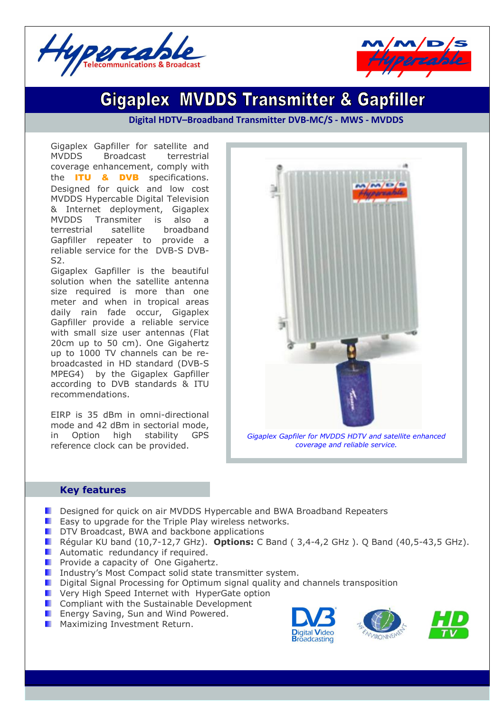



# **Gigaplex MVDDS Transmitter & Gapfiller**

**Digital HDTV–Broadband Transmitter DVB-MC/S - MWS - MVDDS**

Gigaplex Gapfiller for satellite and MVDDS Broadcast terrestrial coverage enhancement, comply with the **ITU & DVB** specifications. Designed for quick and low cost MVDDS Hypercable Digital Television & Internet deployment, Gigaplex MVDDS Transmiter is also a terrestrial satellite broadband Gapfiller repeater to provide a reliable service for the DVB-S DVB-S2.

Gigaplex Gapfiller is the beautiful solution when the satellite antenna size required is more than one meter and when in tropical areas daily rain fade occur, Gigaplex Gapfiller provide a reliable service with small size user antennas (Flat 20cm up to 50 cm). One Gigahertz up to 1000 TV channels can be rebroadcasted in HD standard (DVB-S MPEG4) by the Gigaplex Gapfiller according to DVB standards & ITU recommendations.

EIRP is 35 dBm in omni-directional mode and 42 dBm in sectorial mode, in Option high stability GPS reference clock can be provided.



*Gigaplex Gapfiler for MVDDS HDTV and satellite enhanced coverage and reliable service.*

#### **Key features**

- Designed for quick on air MVDDS Hypercable and BWA Broadband Repeaters
- **E** Easy to upgrade for the Triple Play wireless networks.
- **DE DTV Broadcast, BWA and backbone applications**
- Régular KU band (10,7-12,7 GHz). **Options:** C Band ( 3,4-4,2 GHz ). Q Band (40,5-43,5 GHz).
- **Automatic redundancy if required.**
- **Provide a capacity of One Gigahertz.**
- **I** Industry's Most Compact solid state transmitter system.
- **D** Digital Signal Processing for Optimum signal quality and channels transposition
- **E** Very High Speed Internet with HyperGate option
- **Compliant with the Sustainable Development**
- **E** Energy Saving, Sun and Wind Powered.
- **Maximizing Investment Return.**



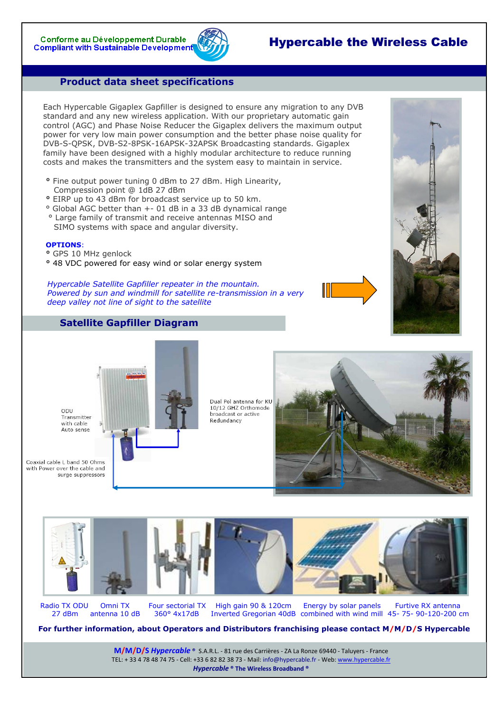## Hypercable the Wireless Cable

#### **Product data sheet specifications**

Each Hypercable Gigaplex Gapfiller is designed to ensure any migration to any DVB standard and any new wireless application. With our proprietary automatic gain control (AGC) and Phase Noise Reducer the Gigaplex delivers the maximum output power for very low main power consumption and the better phase noise quality for DVB-S-QPSK, DVB-S2-8PSK-16APSK-32APSK Broadcasting standards. Gigaplex family have been designed with a highly modular architecture to reduce running costs and makes the transmitters and the system easy to maintain in service.

- **°** Fine output power tuning 0 dBm to 27 dBm. High Linearity, Compression point @ 1dB 27 dBm
- **°** EIRP up to 43 dBm for broadcast service up to 50 km.
- ° Global AGC better than +- 01 dB in a 33 dB dynamical range ° Large family of transmit and receive antennas MISO and
- SIMO systems with space and angular diversity.

#### **OPTIONS**:

- **°** GPS 10 MHz genlock
- **°** 48 VDC powered for easy wind or solar energy system

*Hypercable Satellite Gapfiller repeater in the mountain. Powered by sun and windmill for satellite re-transmission in a very deep valley not line of sight to the satellite*



### **Satellite Gapfiller Diagram**





Radio TX ODU Omni TX Four sectorial TX High gain 90 & 120cm Energy by solar panels Furtive RX antenna<br>27 dBm antenna 10 dB 360° 4x17dB Inverted Gregorian 40dB combined with wind mill 45- 75- 90-120-200 c 27 dBm antenna 10 dB 360° 4x17dB Inverted Gregorian 40dB combined with wind mill 45- 75- 90-120-200 cm

**For further information, about Operators and Distributors franchising please contact M/M/D/S Hypercable**

**M/M/D/S** *Hypercable* **®** S.A.R.L. - 81 rue des Carrières - ZA La Ronze 69440 - Taluyers - France TEL: + 33 4 78 48 74 75 - Cell: +33 6 82 82 38 73 - Mail: info@hypercable.fr - Web: [www.hypercable.fr](http://www.hypercable.fr/) *Hypercable* **® The Wireless Broadband ®**